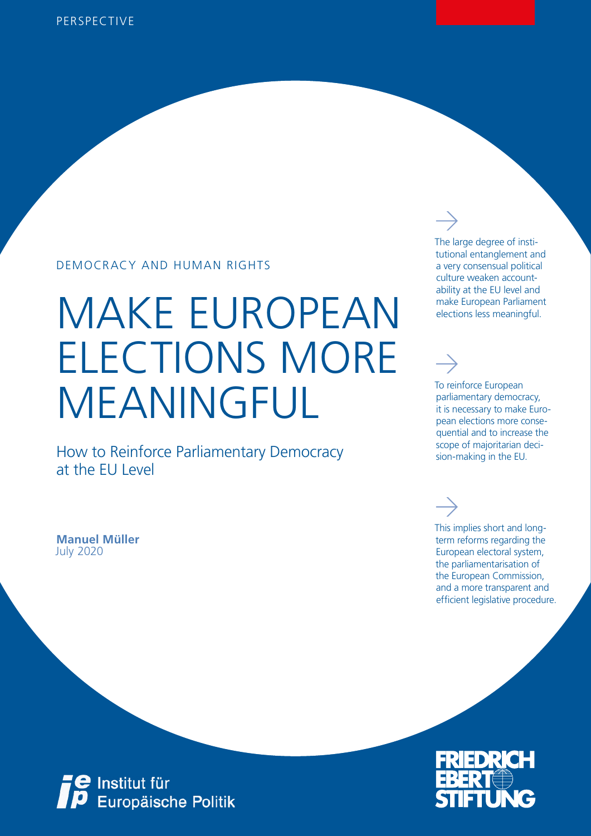## DEMOCRACY AND HUMAN RIGHTS

# MAKE EUROPEAN ELECTIONS MORE MEANINGFUL

How to Reinforce Parliamentary Democracy at the EU Level

July 2020 **Manuel Müller** The large degree of institutional entanglement and a very consensual political culture weaken accountability at the EU level and make European Parliament elections less meaningful.

#### To reinforce European parliamentary democracy, it is necessary to make European elections more consequential and to increase the scope of majoritarian decision-making in the EU.

This implies short and longterm reforms regarding the European electoral system, the parliamentarisation of the European Commission, and a more transparent and efficient legislative procedure.



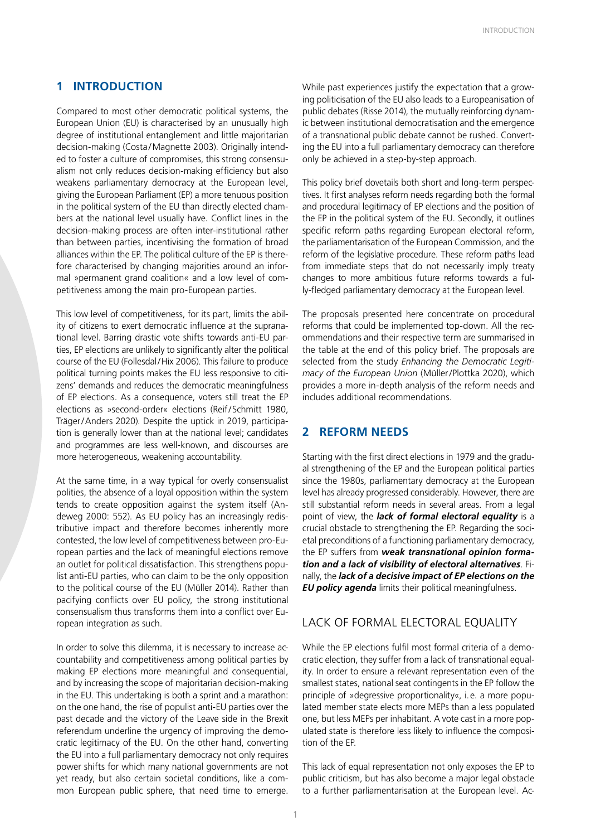#### **1 INTRODUCTION**

Compared to most other democratic political systems, the European Union (EU) is characterised by an unusually high degree of institutional entanglement and little majoritarian decision-making (Costa /Magnette 2003). Originally intended to foster a culture of compromises, this strong consensualism not only reduces decision-making efficiency but also weakens parliamentary democracy at the European level, giving the European Parliament (EP) a more tenuous position in the political system of the EU than directly elected chambers at the national level usually have. Conflict lines in the decision-making process are often inter-institutional rather than between parties, incentivising the formation of broad alliances within the EP. The political culture of the EP is therefore characterised by changing majorities around an informal »permanent grand coalition« and a low level of competitiveness among the main pro-European parties.

This low level of competitiveness, for its part, limits the ability of citizens to exert democratic influence at the supranational level. Barring drastic vote shifts towards anti-EU parties, EP elections are unlikely to significantly alter the political course of the EU (Follesdal/Hix 2006). This failure to produce political turning points makes the EU less responsive to citizens' demands and reduces the democratic meaningfulness of EP elections. As a consequence, voters still treat the EP elections as »second-order« elections (Reif/Schmitt 1980, Träger/Anders 2020). Despite the uptick in 2019, participation is generally lower than at the national level; candidates and programmes are less well-known, and discourses are more heterogeneous, weakening accountability.

At the same time, in a way typical for overly consensualist polities, the absence of a loyal opposition within the system tends to create opposition against the system itself (Andeweg 2000: 552). As EU policy has an increasingly redistributive impact and therefore becomes inherently more contested, the low level of competitiveness between pro-European parties and the lack of meaningful elections remove an outlet for political dissatisfaction. This strengthens populist anti-EU parties, who can claim to be the only opposition to the political course of the EU (Müller 2014). Rather than pacifying conflicts over EU policy, the strong institutional consensualism thus transforms them into a conflict over European integration as such.

In order to solve this dilemma, it is necessary to increase accountability and competitiveness among political parties by making EP elections more meaningful and consequential, and by increasing the scope of majoritarian decision-making in the EU. This undertaking is both a sprint and a marathon: on the one hand, the rise of populist anti-EU parties over the past decade and the victory of the Leave side in the Brexit referendum underline the urgency of improving the democratic legitimacy of the EU. On the other hand, converting the EU into a full parliamentary democracy not only requires power shifts for which many national governments are not yet ready, but also certain societal conditions, like a common European public sphere, that need time to emerge. While past experiences justify the expectation that a growing politicisation of the EU also leads to a Europeanisation of public debates (Risse 2014), the mutually reinforcing dynamic between institutional democratisation and the emergence of a transnational public debate cannot be rushed. Converting the EU into a full parliamentary democracy can therefore only be achieved in a step-by-step approach.

This policy brief dovetails both short and long-term perspectives. It first analyses reform needs regarding both the formal and procedural legitimacy of EP elections and the position of the EP in the political system of the EU. Secondly, it outlines specific reform paths regarding European electoral reform, the parliamentarisation of the European Commission, and the reform of the legislative procedure. These reform paths lead from immediate steps that do not necessarily imply treaty changes to more ambitious future reforms towards a fully-fledged parliamentary democracy at the European level.

The proposals presented here concentrate on procedural reforms that could be implemented top-down. All the recommendations and their respective term are summarised in the table at the end of this policy brief. The proposals are selected from the study *Enhancing the Democratic Legitimacy of the European Union* (Müller/Plottka 2020), which provides a more in-depth analysis of the reform needs and includes additional recommendations.

#### **2 REFORM NEEDS**

Starting with the first direct elections in 1979 and the gradual strengthening of the EP and the European political parties since the 1980s, parliamentary democracy at the European level has already progressed considerably. However, there are still substantial reform needs in several areas. From a legal point of view, the *lack of formal electoral equality* is a crucial obstacle to strengthening the EP. Regarding the societal preconditions of a functioning parliamentary democracy, the EP suffers from *weak transnational opinion formation and a lack of visibility of electoral alternatives*. Finally, the *lack of a decisive impact of EP elections on the EU policy agenda* limits their political meaningfulness.

#### LACK OF FORMAL ELECTORAL EQUALITY

While the EP elections fulfil most formal criteria of a democratic election, they suffer from a lack of transnational equality. In order to ensure a relevant representation even of the smallest states, national seat contingents in the EP follow the principle of »degressive proportionality«, i.e. a more populated member state elects more MEPs than a less populated one, but less MEPs per inhabitant. A vote cast in a more populated state is therefore less likely to influence the composition of the EP.

This lack of equal representation not only exposes the EP to public criticism, but has also become a major legal obstacle to a further parliamentarisation at the European level. Ac-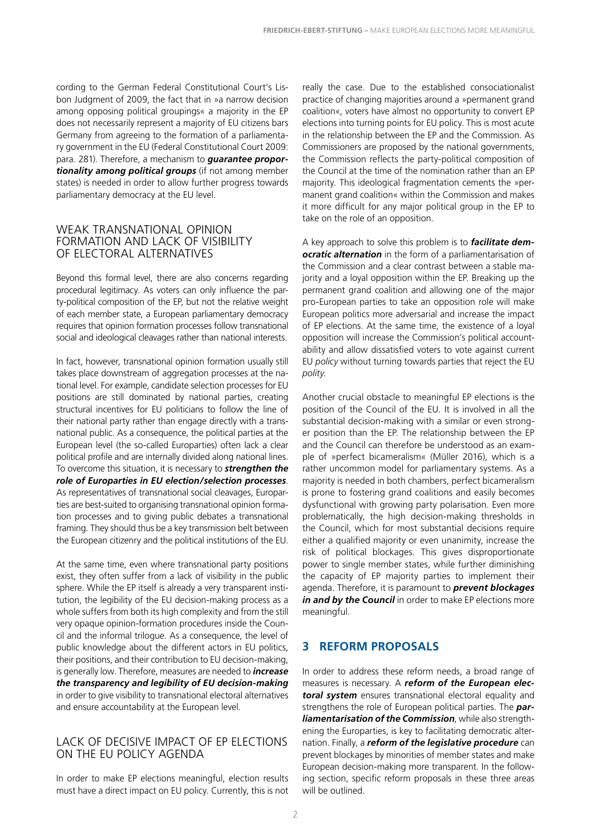cording to the German Federal Constitutional Court's Lisbon Judgment of 2009, the fact that in »a narrow decision among opposing political groupings« a majority in the EP does not necessarily represent a majority of EU citizens bars Germany from agreeing to the formation of a parliamentary government in the EU (Federal Constitutional Court 2009: para. 281). Therefore, a mechanism to *guarantee proportionality among political groups* (if not among member states) is needed in order to allow further progress towards parliamentary democracy at the EU level.

#### WEAK TRANSNATIONAL OPINION FORMATION AND LACK OF VISIBILITY OF ELECTORAL ALTERNATIVES

Beyond this formal level, there are also concerns regarding procedural legitimacy. As voters can only influence the party-political composition of the EP, but not the relative weight of each member state, a European parliamentary democracy requires that opinion formation processes follow transnational social and ideological cleavages rather than national interests.

In fact, however, transnational opinion formation usually still takes place downstream of aggregation processes at the national level. For example, candidate selection processes for EU positions are still dominated by national parties, creating structural incentives for EU politicians to follow the line of their national party rather than engage directly with a transnational public. As a consequence, the political parties at the European level (the so-called Europarties) often lack a clear political profile and are internally divided along national lines. To overcome this situation, it is necessary to *strengthen the role of Europarties in EU election/selection processes*. As representatives of transnational social cleavages, Europarties are best-suited to organising transnational opinion formation processes and to giving public debates a transnational framing. They should thus be a key transmission belt between the European citizenry and the political institutions of the EU.

At the same time, even where transnational party positions exist, they often suffer from a lack of visibility in the public sphere. While the EP itself is already a very transparent institution, the legibility of the EU decision-making process as a whole suffers from both its high complexity and from the still very opaque opinion-formation procedures inside the Council and the informal trilogue. As a consequence, the level of public knowledge about the different actors in EU politics, their positions, and their contribution to EU decision-making, is generally low. Therefore, measures are needed to *increase the transparency and legibility of EU decision-making* in order to give visibility to transnational electoral alternatives and ensure accountability at the European level.

#### LACK OF DECISIVE IMPACT OF EP ELECTIONS ON THE EU POLICY AGENDA

In order to make EP elections meaningful, election results must have a direct impact on EU policy. Currently, this is not

really the case. Due to the established consociationalist practice of changing majorities around a »permanent grand coalition«, voters have almost no opportunity to convert EP elections into turning points for EU policy. This is most acute in the relationship between the EP and the Commission. As Commissioners are proposed by the national governments, the Commission reflects the party-political composition of the Council at the time of the nomination rather than an EP majority. This ideological fragmentation cements the »permanent grand coalition« within the Commission and makes it more difficult for any major political group in the EP to take on the role of an opposition.

A key approach to solve this problem is to *facilitate democratic alternation* in the form of a parliamentarisation of the Commission and a clear contrast between a stable majority and a loyal opposition within the EP. Breaking up the permanent grand coalition and allowing one of the major pro-European parties to take an opposition role will make European politics more adversarial and increase the impact of EP elections. At the same time, the existence of a loyal opposition will increase the Commission's political accountability and allow dissatisfied voters to vote against current EU *policy* without turning towards parties that reject the EU *polity*.

Another crucial obstacle to meaningful EP elections is the position of the Council of the EU. It is involved in all the substantial decision-making with a similar or even stronger position than the EP. The relationship between the EP and the Council can therefore be understood as an example of »perfect bicameralism« (Müller 2016), which is a rather uncommon model for parliamentary systems. As a majority is needed in both chambers, perfect bicameralism is prone to fostering grand coalitions and easily becomes dysfunctional with growing party polarisation. Even more problematically, the high decision-making thresholds in the Council, which for most substantial decisions require either a qualified majority or even unanimity, increase the risk of political blockages. This gives disproportionate power to single member states, while further diminishing the capacity of EP majority parties to implement their agenda. Therefore, it is paramount to *prevent blockages*  in and by the Council in order to make EP elections more meaningful.

#### **3 REFORM PROPOSALS**

In order to address these reform needs, a broad range of measures is necessary. A *reform of the European electoral system* ensures transnational electoral equality and strengthens the role of European political parties. The *parliamentarisation of the Commission*, while also strengthening the Europarties, is key to facilitating democratic alternation. Finally, a *reform of the legislative procedure* can prevent blockages by minorities of member states and make European decision-making more transparent. In the following section, specific reform proposals in these three areas will be outlined.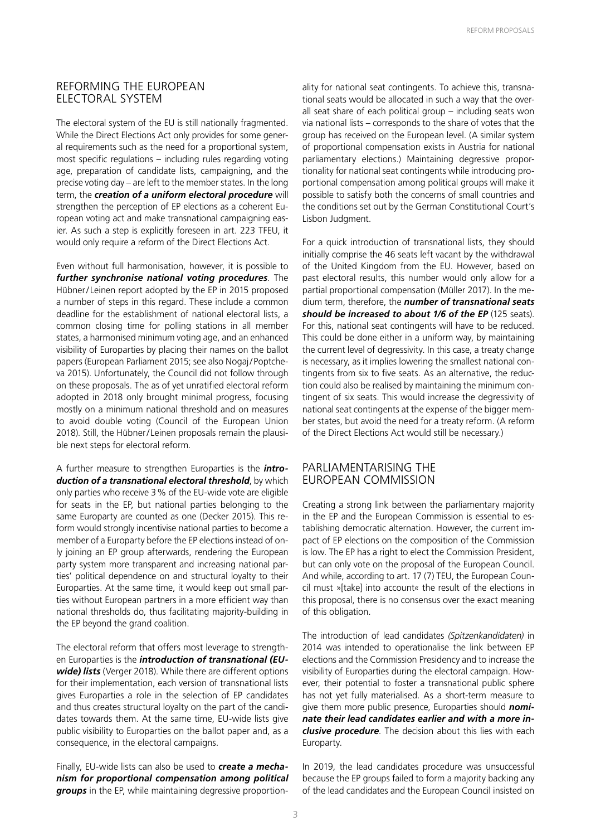#### REFORMING THE EUROPEAN ELECTORAL SYSTEM

The electoral system of the EU is still nationally fragmented. While the Direct Elections Act only provides for some general requirements such as the need for a proportional system, most specific regulations – including rules regarding voting age, preparation of candidate lists, campaigning, and the precise voting day – are left to the member states. In the long term, the *creation of a uniform electoral procedure* will strengthen the perception of EP elections as a coherent European voting act and make transnational campaigning easier. As such a step is explicitly foreseen in art. 223 TFEU, it would only require a reform of the Direct Elections Act.

Even without full harmonisation, however, it is possible to *further synchronise national voting procedures*. The Hübner/ Leinen report adopted by the EP in 2015 proposed a number of steps in this regard. These include a common deadline for the establishment of national electoral lists, a common closing time for polling stations in all member states, a harmonised minimum voting age, and an enhanced visibility of Europarties by placing their names on the ballot papers (European Parliament 2015; see also Nogaj/Poptcheva 2015). Unfortunately, the Council did not follow through on these proposals. The as of yet unratified electoral reform adopted in 2018 only brought minimal progress, focusing mostly on a minimum national threshold and on measures to avoid double voting (Council of the European Union 2018). Still, the Hübner/ Leinen proposals remain the plausible next steps for electoral reform.

A further measure to strengthen Europarties is the *introduction of a transnational electoral threshold*, by which only parties who receive 3% of the EU-wide vote are eligible for seats in the EP, but national parties belonging to the same Europarty are counted as one (Decker 2015). This reform would strongly incentivise national parties to become a member of a Europarty before the EP elections instead of only joining an EP group afterwards, rendering the European party system more transparent and increasing national parties' political dependence on and structural loyalty to their Europarties. At the same time, it would keep out small parties without European partners in a more efficient way than national thresholds do, thus facilitating majority-building in the EP beyond the grand coalition.

The electoral reform that offers most leverage to strengthen Europarties is the *introduction of transnational (EUwide) lists* (Verger 2018). While there are different options for their implementation, each version of transnational lists gives Europarties a role in the selection of EP candidates and thus creates structural loyalty on the part of the candidates towards them. At the same time, EU-wide lists give public visibility to Europarties on the ballot paper and, as a consequence, in the electoral campaigns.

Finally, EU-wide lists can also be used to *create a mechanism for proportional compensation among political groups* in the EP, while maintaining degressive proportionality for national seat contingents. To achieve this, transnational seats would be allocated in such a way that the overall seat share of each political group – including seats won via national lists – corresponds to the share of votes that the group has received on the European level. (A similar system of proportional compensation exists in Austria for national parliamentary elections.) Maintaining degressive proportionality for national seat contingents while introducing proportional compensation among political groups will make it possible to satisfy both the concerns of small countries and the conditions set out by the German Constitutional Court's Lisbon Judgment.

For a quick introduction of transnational lists, they should initially comprise the 46 seats left vacant by the withdrawal of the United Kingdom from the EU. However, based on past electoral results, this number would only allow for a partial proportional compensation (Müller 2017). In the medium term, therefore, the *number of transnational seats should be increased to about 1/6 of the EP* (125 seats). For this, national seat contingents will have to be reduced. This could be done either in a uniform way, by maintaining the current level of degressivity. In this case, a treaty change is necessary, as it implies lowering the smallest national contingents from six to five seats. As an alternative, the reduction could also be realised by maintaining the minimum contingent of six seats. This would increase the degressivity of national seat contingents at the expense of the bigger member states, but avoid the need for a treaty reform. (A reform of the Direct Elections Act would still be necessary.)

#### PARLIAMENTARISING THE EUROPEAN COMMISSION

Creating a strong link between the parliamentary majority in the EP and the European Commission is essential to establishing democratic alternation. However, the current impact of EP elections on the composition of the Commission is low. The EP has a right to elect the Commission President, but can only vote on the proposal of the European Council. And while, according to art. 17 (7) TEU, the European Council must »[take] into account« the result of the elections in this proposal, there is no consensus over the exact meaning of this obligation.

The introduction of lead candidates *(Spitzenkandidaten)* in 2014 was intended to operationalise the link between EP elections and the Commission Presidency and to increase the visibility of Europarties during the electoral campaign. However, their potential to foster a transnational public sphere has not yet fully materialised. As a short-term measure to give them more public presence, Europarties should *nominate their lead candidates earlier and with a more inclusive procedure*. The decision about this lies with each Europarty.

In 2019, the lead candidates procedure was unsuccessful because the EP groups failed to form a majority backing any of the lead candidates and the European Council insisted on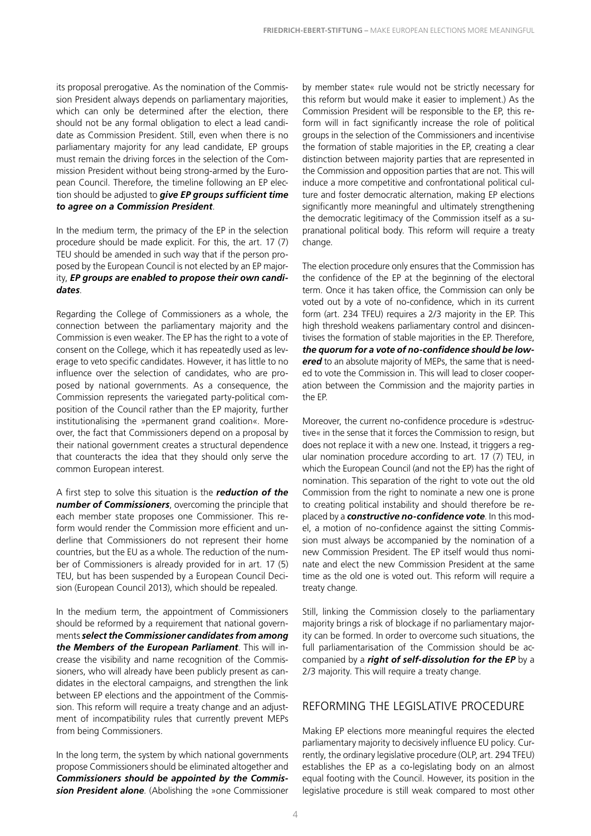its proposal prerogative. As the nomination of the Commission President always depends on parliamentary majorities, which can only be determined after the election, there should not be any formal obligation to elect a lead candidate as Commission President. Still, even when there is no parliamentary majority for any lead candidate, EP groups must remain the driving forces in the selection of the Commission President without being strong-armed by the European Council. Therefore, the timeline following an EP election should be adjusted to *give EP groups sufficient time to agree on a Commission President*.

In the medium term, the primacy of the EP in the selection procedure should be made explicit. For this, the art. 17 (7) TEU should be amended in such way that if the person proposed by the European Council is not elected by an EP majority, *EP groups are enabled to propose their own candidates*.

Regarding the College of Commissioners as a whole, the connection between the parliamentary majority and the Commission is even weaker. The EP has the right to a vote of consent on the College, which it has repeatedly used as leverage to veto specific candidates. However, it has little to no influence over the selection of candidates, who are proposed by national governments. As a consequence, the Commission represents the variegated party-political composition of the Council rather than the EP majority, further institutionalising the »permanent grand coalition«. Moreover, the fact that Commissioners depend on a proposal by their national government creates a structural dependence that counteracts the idea that they should only serve the common European interest.

A first step to solve this situation is the *reduction of the number of Commissioners*, overcoming the principle that each member state proposes one Commissioner. This reform would render the Commission more efficient and underline that Commissioners do not represent their home countries, but the EU as a whole. The reduction of the number of Commissioners is already provided for in art. 17 (5) TEU, but has been suspended by a European Council Decision (European Council 2013), which should be repealed.

In the medium term, the appointment of Commissioners should be reformed by a requirement that national governments *select the Commissioner candidates from among the Members of the European Parliament*. This will increase the visibility and name recognition of the Commissioners, who will already have been publicly present as candidates in the electoral campaigns, and strengthen the link between EP elections and the appointment of the Commission. This reform will require a treaty change and an adjustment of incompatibility rules that currently prevent MEPs from being Commissioners.

In the long term, the system by which national governments propose Commissioners should be eliminated altogether and *Commissioners should be appointed by the Commission President alone*. (Abolishing the »one Commissioner by member state« rule would not be strictly necessary for this reform but would make it easier to implement.) As the Commission President will be responsible to the EP, this reform will in fact significantly increase the role of political groups in the selection of the Commissioners and incentivise the formation of stable majorities in the EP, creating a clear distinction between majority parties that are represented in the Commission and opposition parties that are not. This will induce a more competitive and confrontational political culture and foster democratic alternation, making EP elections significantly more meaningful and ultimately strengthening the democratic legitimacy of the Commission itself as a supranational political body. This reform will require a treaty change.

The election procedure only ensures that the Commission has the confidence of the EP at the beginning of the electoral term. Once it has taken office, the Commission can only be voted out by a vote of no-confidence, which in its current form (art. 234 TFEU) requires a 2/3 majority in the EP. This high threshold weakens parliamentary control and disincentivises the formation of stable majorities in the EP. Therefore, *the quorum for a vote of no-confidence should be lowered* to an absolute majority of MEPs, the same that is needed to vote the Commission in. This will lead to closer cooperation between the Commission and the majority parties in the EP.

Moreover, the current no-confidence procedure is »destructive« in the sense that it forces the Commission to resign, but does not replace it with a new one. Instead, it triggers a regular nomination procedure according to art. 17 (7) TEU, in which the European Council (and not the EP) has the right of nomination. This separation of the right to vote out the old Commission from the right to nominate a new one is prone to creating political instability and should therefore be replaced by a *constructive no-confidence vote*. In this model, a motion of no-confidence against the sitting Commission must always be accompanied by the nomination of a new Commission President. The EP itself would thus nominate and elect the new Commission President at the same time as the old one is voted out. This reform will require a treaty change.

Still, linking the Commission closely to the parliamentary majority brings a risk of blockage if no parliamentary majority can be formed. In order to overcome such situations, the full parliamentarisation of the Commission should be accompanied by a *right of self-dissolution for the EP* by a 2/3 majority. This will require a treaty change.

#### REFORMING THE LEGISLATIVE PROCEDURE

Making EP elections more meaningful requires the elected parliamentary majority to decisively influence EU policy. Currently, the ordinary legislative procedure (OLP, art. 294 TFEU) establishes the EP as a co-legislating body on an almost equal footing with the Council. However, its position in the legislative procedure is still weak compared to most other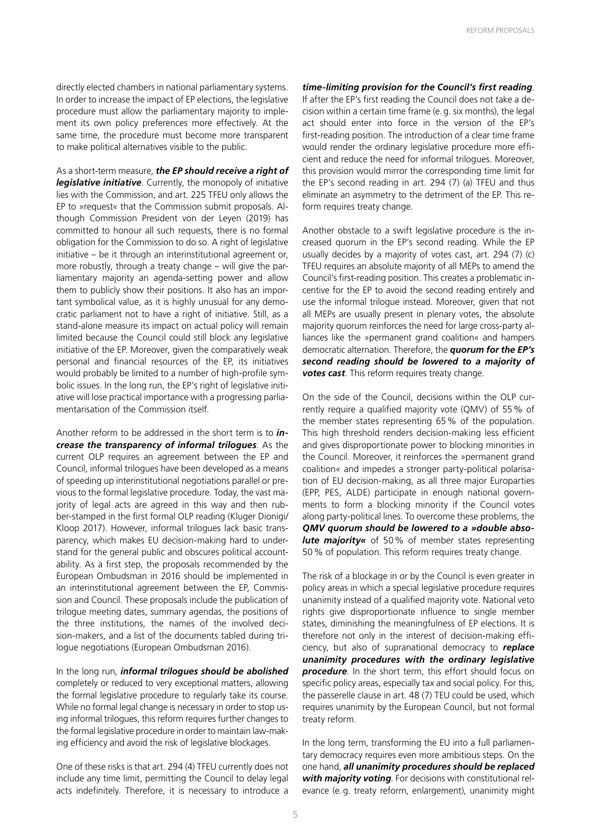directly elected chambers in national parliamentary systems. In order to increase the impact of EP elections, the legislative procedure must allow the parliamentary majority to implement its own policy preferences more effectively. At the same time, the procedure must become more transparent to make political alternatives visible to the public.

As a short-term measure, *the EP should receive a right of legislative initiative*. Currently, the monopoly of initiative lies with the Commission, and art. 225 TFEU only allows the EP to »request« that the Commission submit proposals. Although Commission President von der Leyen (2019) has committed to honour all such requests, there is no formal obligation for the Commission to do so. A right of legislative initiative – be it through an interinstitutional agreement or, more robustly, through a treaty change – will give the parliamentary majority an agenda-setting power and allow them to publicly show their positions. It also has an important symbolical value, as it is highly unusual for any democratic parliament not to have a right of initiative. Still, as a stand-alone measure its impact on actual policy will remain limited because the Council could still block any legislative initiative of the EP. Moreover, given the comparatively weak personal and financial resources of the EP, its initiatives would probably be limited to a number of high-profile symbolic issues. In the long run, the EP's right of legislative initiative will lose practical importance with a progressing parliamentarisation of the Commission itself.

Another reform to be addressed in the short term is to *increase the transparency of informal trilogues*. As the current OLP requires an agreement between the EP and Council, informal trilogues have been developed as a means of speeding up interinstitutional negotiations parallel or previous to the formal legislative procedure. Today, the vast majority of legal acts are agreed in this way and then rubber-stamped in the first formal OLP reading (Kluger Dionigi/ Kloop 2017). However, informal trilogues lack basic transparency, which makes EU decision-making hard to understand for the general public and obscures political accountability. As a first step, the proposals recommended by the European Ombudsman in 2016 should be implemented in an interinstitutional agreement between the EP, Commission and Council. These proposals include the publication of trilogue meeting dates, summary agendas, the positions of the three institutions, the names of the involved decision-makers, and a list of the documents tabled during trilogue negotiations (European Ombudsman 2016).

In the long run, *informal trilogues should be abolished* completely or reduced to very exceptional matters, allowing the formal legislative procedure to regularly take its course. While no formal legal change is necessary in order to stop using informal trilogues, this reform requires further changes to the formal legislative procedure in order to maintain law-making efficiency and avoid the risk of legislative blockages.

One of these risks is that art. 294 (4) TFEU currently does not include any time limit, permitting the Council to delay legal acts indefinitely. Therefore, it is necessary to introduce a

#### *time-limiting provision for the Council's first reading*.

If after the EP's first reading the Council does not take a decision within a certain time frame (e.g. six months), the legal act should enter into force in the version of the EP's first-reading position. The introduction of a clear time frame would render the ordinary legislative procedure more efficient and reduce the need for informal trilogues. Moreover, this provision would mirror the corresponding time limit for the EP's second reading in art. 294 (7) (a) TFEU and thus eliminate an asymmetry to the detriment of the EP. This reform requires treaty change.

Another obstacle to a swift legislative procedure is the increased quorum in the EP's second reading. While the EP usually decides by a majority of votes cast, art. 294 (7) (c) TFEU requires an absolute majority of all MEPs to amend the Council's first-reading position. This creates a problematic incentive for the EP to avoid the second reading entirely and use the informal trilogue instead. Moreover, given that not all MEPs are usually present in plenary votes, the absolute majority quorum reinforces the need for large cross-party alliances like the »permanent grand coalition« and hampers democratic alternation. Therefore, the *quorum for the EP's second reading should be lowered to a majority of votes cast*. This reform requires treaty change.

On the side of the Council, decisions within the OLP currently require a qualified majority vote (QMV) of 55% of the member states representing 65% of the population. This high threshold renders decision-making less efficient and gives disproportionate power to blocking minorities in the Council. Moreover, it reinforces the »permanent grand coalition« and impedes a stronger party-political polarisation of EU decision-making, as all three major Europarties (EPP, PES, ALDE) participate in enough national governments to form a blocking minority if the Council votes along party-political lines. To overcome these problems, the *QMV quorum should be lowered to a »double absolute majority«* of 50% of member states representing 50% of population. This reform requires treaty change.

The risk of a blockage in or by the Council is even greater in policy areas in which a special legislative procedure requires unanimity instead of a qualified majority vote. National veto rights give disproportionate influence to single member states, diminishing the meaningfulness of EP elections. It is therefore not only in the interest of decision-making efficiency, but also of supranational democracy to *replace unanimity procedures with the ordinary legislative procedure*. In the short term, this effort should focus on specific policy areas, especially tax and social policy. For this, the passerelle clause in art. 48 (7) TEU could be used, which requires unanimity by the European Council, but not formal treaty reform.

In the long term, transforming the EU into a full parliamentary democracy requires even more ambitious steps. On the one hand, *all unanimity procedures should be replaced with majority voting*. For decisions with constitutional relevance (e.g. treaty reform, enlargement), unanimity might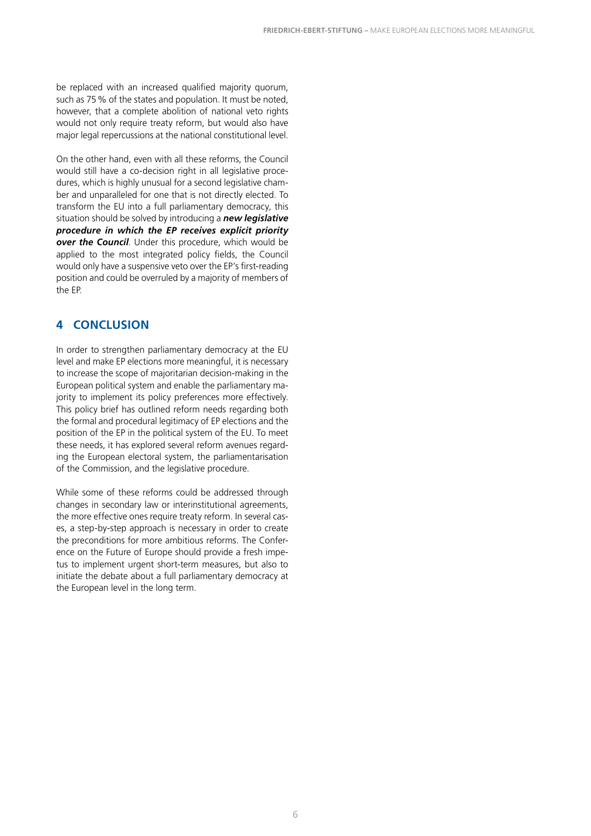be replaced with an increased qualified majority quorum, such as 75% of the states and population. It must be noted, however, that a complete abolition of national veto rights would not only require treaty reform, but would also have major legal repercussions at the national constitutional level.

On the other hand, even with all these reforms, the Council would still have a co-decision right in all legislative procedures, which is highly unusual for a second legislative chamber and unparalleled for one that is not directly elected. To transform the EU into a full parliamentary democracy, this situation should be solved by introducing a *new legislative procedure in which the EP receives explicit priority over the Council*. Under this procedure, which would be applied to the most integrated policy fields, the Council would only have a suspensive veto over the EP's first-reading position and could be overruled by a majority of members of the EP.

#### **4 CONCLUSION**

In order to strengthen parliamentary democracy at the EU level and make EP elections more meaningful, it is necessary to increase the scope of majoritarian decision-making in the European political system and enable the parliamentary majority to implement its policy preferences more effectively. This policy brief has outlined reform needs regarding both the formal and procedural legitimacy of EP elections and the position of the EP in the political system of the EU. To meet these needs, it has explored several reform avenues regarding the European electoral system, the parliamentarisation of the Commission, and the legislative procedure.

While some of these reforms could be addressed through changes in secondary law or interinstitutional agreements, the more effective ones require treaty reform. In several cases, a step-by-step approach is necessary in order to create the preconditions for more ambitious reforms. The Conference on the Future of Europe should provide a fresh impetus to implement urgent short-term measures, but also to initiate the debate about a full parliamentary democracy at the European level in the long term.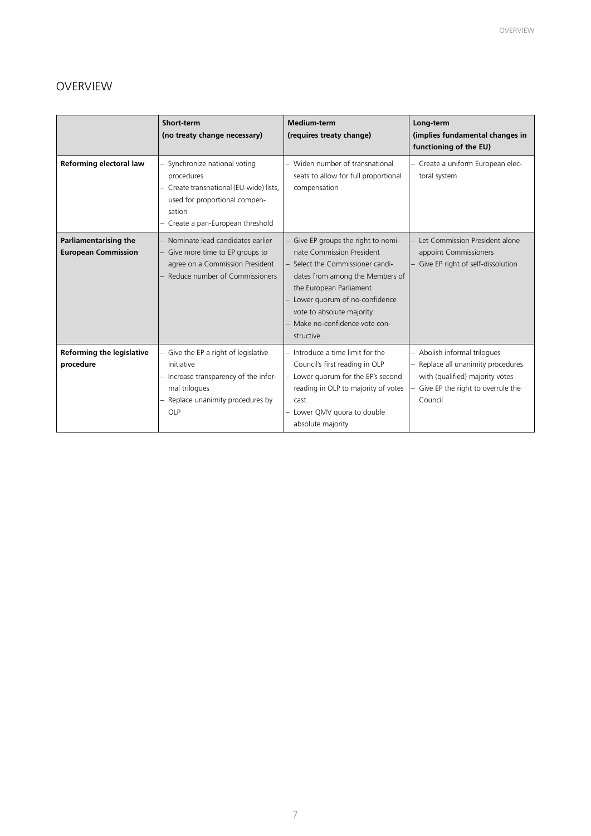### OVERVIEW

|                                                            | Short-term<br>(no treaty change necessary)                                                                                                                             | <b>Medium-term</b><br>(requires treaty change)                                                                                                                                                                                                                                | Long-term<br>(implies fundamental changes in<br>functioning of the EU)                                                                              |
|------------------------------------------------------------|------------------------------------------------------------------------------------------------------------------------------------------------------------------------|-------------------------------------------------------------------------------------------------------------------------------------------------------------------------------------------------------------------------------------------------------------------------------|-----------------------------------------------------------------------------------------------------------------------------------------------------|
| Reforming electoral law                                    | - Synchronize national voting<br>procedures<br>- Create transnational (EU-wide) lists,<br>used for proportional compen-<br>sation<br>- Create a pan-European threshold | - Widen number of transnational<br>seats to allow for full proportional<br>compensation                                                                                                                                                                                       | - Create a uniform European elec-<br>toral system                                                                                                   |
| <b>Parliamentarising the</b><br><b>European Commission</b> | - Nominate lead candidates earlier<br>- Give more time to EP groups to<br>agree on a Commission President<br>Reduce number of Commissioners                            | - Give EP groups the right to nomi-<br>nate Commission President<br>- Select the Commissioner candi-<br>dates from among the Members of<br>the European Parliament<br>Lower quorum of no-confidence<br>vote to absolute majority<br>Make no-confidence vote con-<br>structive | Let Commission President alone<br>appoint Commissioners<br>Give EP right of self-dissolution                                                        |
| <b>Reforming the legislative</b><br>procedure              | - Give the EP a right of legislative<br>initiative<br>- Increase transparency of the infor-<br>mal trilogues<br>- Replace unanimity procedures by<br>OLP               | - Introduce a time limit for the<br>Council's first reading in OLP<br>- Lower quorum for the EP's second<br>reading in OLP to majority of votes<br>cast<br>- Lower QMV quora to double<br>absolute majority                                                                   | Abolish informal trilogues<br>Replace all unanimity procedures<br>with (qualified) majority votes<br>- Give EP the right to overrule the<br>Council |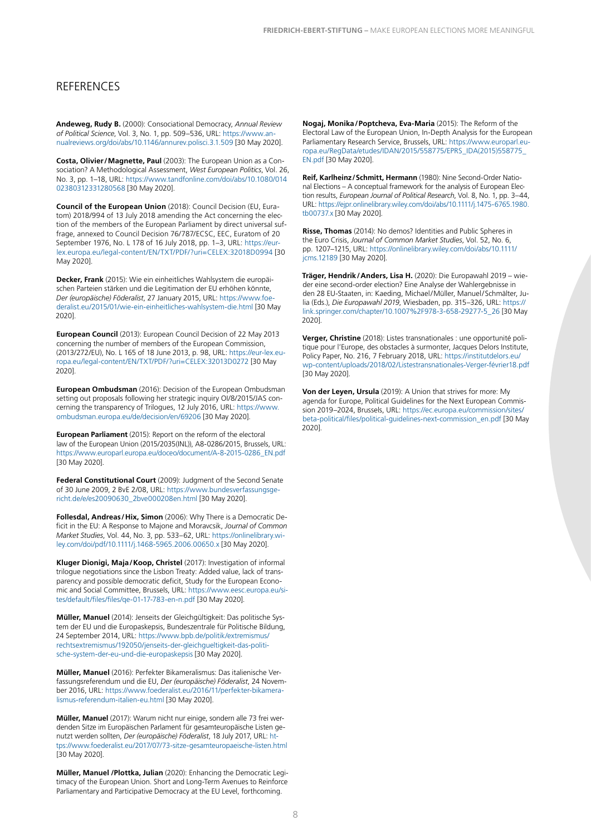#### **REFERENCES**

**Andeweg, Rudy B.** (2000): Consociational Democracy, *Annual Review of Political Science*, Vol. 3, No. 1, pp. 509–536, URL: [https://www.an](https://www.annualreviews.org/doi/abs/10.1146/annurev.polisci.3.1.509)[nualreviews.org/doi/abs/10.1146/annurev.polisci.3.1.509](https://www.annualreviews.org/doi/abs/10.1146/annurev.polisci.3.1.509) [30 May 2020].

**Costa, Olivier/Magnette, Paul** (2003): The European Union as a Consociation? A Methodological Assessment, *West European Politics*, Vol. 26, No. 3, pp. 1–18, URL: [https://www.tandfonline.com/doi/abs/10.1080/014](https://www.tandfonline.com/doi/abs/10.1080/01402380312331280568) [02380312331280568](https://www.tandfonline.com/doi/abs/10.1080/01402380312331280568) [30 May 2020].

**Council of the European Union** (2018): Council Decision (EU, Euratom) 2018/994 of 13 July 2018 amending the Act concerning the election of the members of the European Parliament by direct universal suffrage, annexed to Council Decision 76/787/ECSC, EEC, Euratom of 20 September 1976, No. L 178 of 16 July 2018, pp. 1–3, URL: [https://eur](https://eur-lex.europa.eu/legal-content/EN/TXT/PDF/?uri=CELEX:32018D0994&from=EN)[lex.europa.eu/legal-content/EN/TXT/PDF/?uri=CELEX:32018D0994](https://eur-lex.europa.eu/legal-content/EN/TXT/PDF/?uri=CELEX:32018D0994&from=EN) [30 May 2020].

**Decker, Frank** (2015): Wie ein einheitliches Wahlsystem die europäischen Parteien stärken und die Legitimation der EU erhöhen könnte, *Der (europäische) Föderalist*, 27 January 2015, URL: [https://www.foe](https://www.foederalist.eu/2015/01/wie-ein-einheitliches-wahlsystem-die.html)[deralist.eu/2015/01/wie-ein-einheitliches-wahlsystem-die.html](https://www.foederalist.eu/2015/01/wie-ein-einheitliches-wahlsystem-die.html) [30 May 2020].

**European Council** (2013): European Council Decision of 22 May 2013 concerning the number of members of the European Commission, (2013/272/EU), No. L 165 of 18 June 2013, p. 98, URL: [https://eur-lex.eu](https://eur-lex.europa.eu/legal-content/EN/TXT/PDF/?uri=CELEX:32013D0272)[ropa.eu/legal-content/EN/TXT/PDF/?uri=CELEX:32013D0272](https://eur-lex.europa.eu/legal-content/EN/TXT/PDF/?uri=CELEX:32013D0272) [30 May 2020].

**European Ombudsman** (2016): Decision of the European Ombudsman setting out proposals following her strategic inquiry OI/8/2015/JAS concerning the transparency of Trilogues, 12 July 2016, URL: [https://www.](https://www.ombudsman.europa.eu/de/decision/en/69206) [ombudsman.europa.eu/de/decision/en/69206](https://www.ombudsman.europa.eu/de/decision/en/69206) [30 May 2020].

**European Parliament** (2015): Report on the reform of the electoral law of the European Union (2015/2035(INL)), A8-0286/2015, Brussels, URL: [https://www.europarl.europa.eu/doceo/document/A-8-2015-0286\\_EN.pdf](https://www.europarl.europa.eu/doceo/document/A-8-2015-0286_EN.pdf  ) [\[30 May 2020\].](https://www.europarl.europa.eu/doceo/document/A-8-2015-0286_EN.pdf  )

**Federal Constitutional Court** (2009): Judgment of the Second Senate of 30 June 2009, 2 BvE 2/08, URL: [https://www.bundesverfassungsge](https://www.bundesverfassungsgericht.de/e/es20090630_2bve000208en.html)[richt.de/e/es20090630\\_2bve000208en.html](https://www.bundesverfassungsgericht.de/e/es20090630_2bve000208en.html) [30 May 2020].

**Follesdal, Andreas/Hix, Simon** (2006): Why There is a Democratic Deficit in the EU: A Response to Majone and Moravcsik, *Journal of Common Market Studies*, Vol. 44, No. 3, pp. 533–62, URL: [https://onlinelibrary.wi](https://onlinelibrary.wiley.com/doi/pdf/10.1111/j.1468-5965.2006.00650.x)[ley.com/doi/pdf/10.1111/j.1468-5965.2006.00650.x](https://onlinelibrary.wiley.com/doi/pdf/10.1111/j.1468-5965.2006.00650.x) [30 May 2020].

**Kluger Dionigi, Maja/Koop, Christel** (2017): Investigation of informal trilogue negotiations since the Lisbon Treaty: Added value, lack of transparency and possible democratic deficit, Study for the European Economic and Social Committee, Brussels, URL: [https://www.eesc.europa.eu/si](https://www.eesc.europa.eu/sites/default/files/files/qe-01-17-783-en-n.pdf)[tes/default/files/files/qe-01-17-783-en-n.pdf](https://www.eesc.europa.eu/sites/default/files/files/qe-01-17-783-en-n.pdf) [30 May 2020].

**Müller, Manuel** (2014): Jenseits der Gleichgültigkeit: Das politische System der EU und die Europaskepsis, Bundeszentrale für Politische Bildung, 24 September 2014, URL: [https://www.bpb.de/politik/extremismus/](https://www.bpb.de/politik/extremismus/rechtsextremismus/192050/jenseits-der-gleichgueltigkeit-das-p) [rechtsextremismus/192050/jenseits-der-gleichgueltigkeit-das-politi](https://www.bpb.de/politik/extremismus/rechtsextremismus/192050/jenseits-der-gleichgueltigkeit-das-p)[sche-system-der-eu-und-die-europaskepsis](https://www.bpb.de/politik/extremismus/rechtsextremismus/192050/jenseits-der-gleichgueltigkeit-das-p) [30 May 2020].

**Müller, Manuel** (2016): Perfekter Bikameralismus: Das italienische Verfassungsreferendum und die EU, *Der (europäische) Föderalist*, 24 November 2016, URL: [https://www.foederalist.eu/2016/11/perfekter-bikamera](https://www.foederalist.eu/2016/11/perfekter-bikameralismus-referendum-italien-eu.html)[lismus-referendum-italien-eu.html](https://www.foederalist.eu/2016/11/perfekter-bikameralismus-referendum-italien-eu.html) [30 May 2020].

**Müller, Manuel** (2017): Warum nicht nur einige, sondern alle 73 frei werdenden Sitze im Europäischen Parlament für gesamteuropäische Listen genutzt werden sollten, *Der (europäische) Föderalist*, 18 July 2017, URL: [ht](https://www.foederalist.eu/2017/07/73-sitze-gesamteuropaeische-listen.html)[tps://www.foederalist.eu/2017/07/73-sitze-gesamteuropaeische-listen.html](https://www.foederalist.eu/2017/07/73-sitze-gesamteuropaeische-listen.html) [30 May 2020].

**Müller, Manuel /Plottka, Julian** (2020): Enhancing the Democratic Legitimacy of the European Union. Short and Long-Term Avenues to Reinforce Parliamentary and Participative Democracy at the EU Level, forthcoming.

**Nogaj, Monika/Poptcheva, Eva-Maria** (2015): The Reform of the Electoral Law of the European Union, In-Depth Analysis for the European Parliamentary Research Service, Brussels, URL: [https://www.europarl.eu](https://www.europarl.europa.eu/RegData/etudes/IDAN/2015/558775/EPRS_IDA(2015)558775_EN.pdf)[ropa.eu/RegData/etudes/IDAN/2015/558775/EPRS\\_IDA\(2015\)558775\\_](https://www.europarl.europa.eu/RegData/etudes/IDAN/2015/558775/EPRS_IDA(2015)558775_EN.pdf) [EN.pdf](https://www.europarl.europa.eu/RegData/etudes/IDAN/2015/558775/EPRS_IDA(2015)558775_EN.pdf) [30 May 2020].

**Reif, Karlheinz/Schmitt, Hermann** (1980): Nine Second-Order National Elections – A conceptual framework for the analysis of European Election results, *European Journal of Political Research*, Vol. 8, No. 1, pp. 3–44, URL: [https://ejpr.onlinelibrary.wiley.com/doi/abs/10.1111/j.1475-6765.1980.](https://ejpr.onlinelibrary.wiley.com/doi/abs/10.1111/j.1475-6765.1980.tb00737.x) [tb00737.x](https://ejpr.onlinelibrary.wiley.com/doi/abs/10.1111/j.1475-6765.1980.tb00737.x) [30 May 2020].

**Risse, Thomas** (2014): No demos? Identities and Public Spheres in the Euro Crisis, *Journal of Common Market Studies*, Vol. 52, No. 6, pp. 1207–1215, URL: [https://onlinelibrary.wiley.com/doi/abs/10.1111/](https://onlinelibrary.wiley.com/doi/abs/10.1111/jcms.12189) [jcms.12189](https://onlinelibrary.wiley.com/doi/abs/10.1111/jcms.12189) [30 May 2020].

**Träger, Hendrik/Anders, Lisa H.** (2020): Die Europawahl 2019 – wieder eine second-order election? Eine Analyse der Wahlergebnisse in den 28 EU-Staaten, in: Kaeding, Michael/Müller, Manuel/Schmälter, Julia (Eds.), *Die Europawahl 2019*, Wiesbaden, pp. 315–326, URL: [https://](https://link.springer.com/chapter/10.1007%2F978-3-658-29277-5_26) [link.springer.com/chapter/10.1007%2F978-3-658-29277-5\\_26](https://link.springer.com/chapter/10.1007%2F978-3-658-29277-5_26) [30 May 2020].

**Verger, Christine** (2018): Listes transnationales : une opportunité politique pour l'Europe, des obstacles à surmonter, Jacques Delors Institute, Policy Paper, No. 216, 7 February 2018, URL: [https://institutdelors.eu/](https://institutdelors.eu/wp-content/uploads/2018/02/Listestransnationales-Verger-février18.pdf) [wp-content/uploads/2018/02/Listestransnationales-Verger-février18.pdf](https://institutdelors.eu/wp-content/uploads/2018/02/Listestransnationales-Verger-février18.pdf) [30 May 2020].

**Von der Leyen, Ursula** (2019): A Union that strives for more: My agenda for Europe, Political Guidelines for the Next European Commission 2019–2024, Brussels, URL: [https://ec.europa.eu/commission/sites/](https://ec.europa.eu/commission/sites/beta-political/files/political-guidelines-next-commission_en.pdf) [beta-political/files/political-guidelines-next-commission\\_en.pdf](https://ec.europa.eu/commission/sites/beta-political/files/political-guidelines-next-commission_en.pdf) [30 May 2020].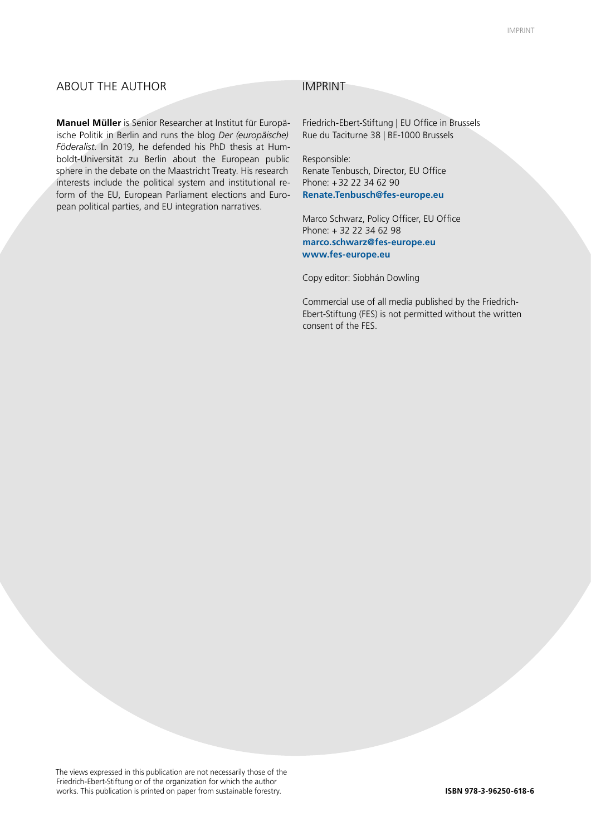#### ABOUT THE AUTHOR IMPRINT

**Manuel Müller** is Senior Researcher at Institut für Europäische Politik in Berlin and runs the blog *Der (europäische) Föderalist*. In 2019, he defended his PhD thesis at Humboldt-Universität zu Berlin about the European public sphere in the debate on the Maastricht Treaty. His research interests include the political system and institutional reform of the EU, European Parliament elections and European political parties, and EU integration narratives.

Friedrich-Ebert-Stiftung | EU Office in Brussels Rue du Taciturne 38 | BE-1000 Brussels

Responsible: Renate Tenbusch, Director, EU Office Phone: +32 22 34 62 90 **Renate.Tenbusch@fes-europe.eu**

Marco Schwarz, Policy Officer, EU Office Phone: + 32 22 34 62 98 **marco.schwarz@fes-europe.eu www.fes-europe.eu**

Copy editor: Siobhán Dowling

Commercial use of all media published by the Friedrich-Ebert-Stiftung (FES) is not permitted without the written consent of the FES.